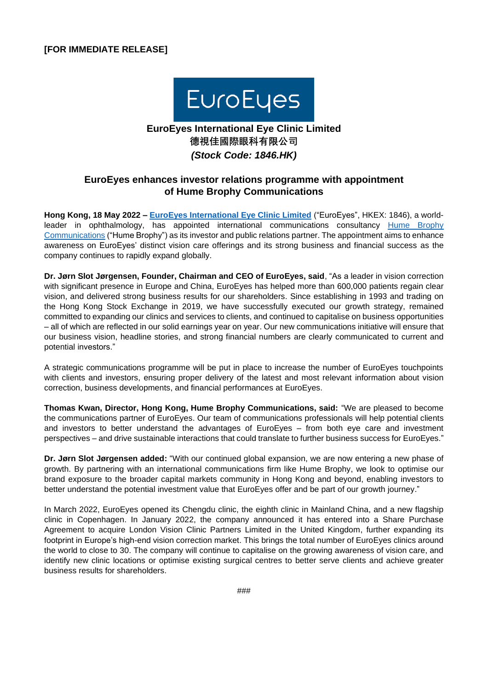

# **EuroEyes International Eye Clinic Limited 德視佳國際眼科有限公司** *(Stock Code: 1846.HK)*

## **EuroEyes enhances investor relations programme with appointment of Hume Brophy Communications**

**Hong Kong, 18 May 2022 – [EuroEyes International Eye Clinic Limited](http://www.euroeyes.hk/)** ("EuroEyes", HKEX: 1846), a world-leader in ophthalmology, has appointed international communications consultancy [Hume Brophy](https://humebrophy.com/) [Communications](https://humebrophy.com/) ("Hume Brophy") as its investor and public relations partner. The appointment aims to enhance awareness on EuroEyes' distinct vision care offerings and its strong business and financial success as the company continues to rapidly expand globally.

**Dr. Jørn Slot Jørgensen, Founder, Chairman and CEO of EuroEyes, said**, "As a leader in vision correction with significant presence in Europe and China, EuroEyes has helped more than 600,000 patients regain clear vision, and delivered strong business results for our shareholders. Since establishing in 1993 and trading on the Hong Kong Stock Exchange in 2019, we have successfully executed our growth strategy, remained committed to expanding our clinics and services to clients, and continued to capitalise on business opportunities – all of which are reflected in our solid earnings year on year. Our new communications initiative will ensure that our business vision, headline stories, and strong financial numbers are clearly communicated to current and potential investors."

A strategic communications programme will be put in place to increase the number of EuroEyes touchpoints with clients and investors, ensuring proper delivery of the latest and most relevant information about vision correction, business developments, and financial performances at EuroEyes.

**Thomas Kwan, Director, Hong Kong, Hume Brophy Communications, said:** "We are pleased to become the communications partner of EuroEyes. Our team of communications professionals will help potential clients and investors to better understand the advantages of EuroEyes – from both eye care and investment perspectives – and drive sustainable interactions that could translate to further business success for EuroEyes."

**Dr. Jørn Slot Jørgensen added:** "With our continued global expansion, we are now entering a new phase of growth. By partnering with an international communications firm like Hume Brophy, we look to optimise our brand exposure to the broader capital markets community in Hong Kong and beyond, enabling investors to better understand the potential investment value that EuroEyes offer and be part of our growth journey."

In March 2022, EuroEyes opened its Chengdu clinic, the eighth clinic in Mainland China, and a new flagship clinic in Copenhagen. In January 2022, the company announced it has entered into a Share Purchase Agreement to acquire London Vision Clinic Partners Limited in the United Kingdom, further expanding its footprint in Europe's high-end vision correction market. This brings the total number of EuroEyes clinics around the world to close to 30. The company will continue to capitalise on the growing awareness of vision care, and identify new clinic locations or optimise existing surgical centres to better serve clients and achieve greater business results for shareholders.